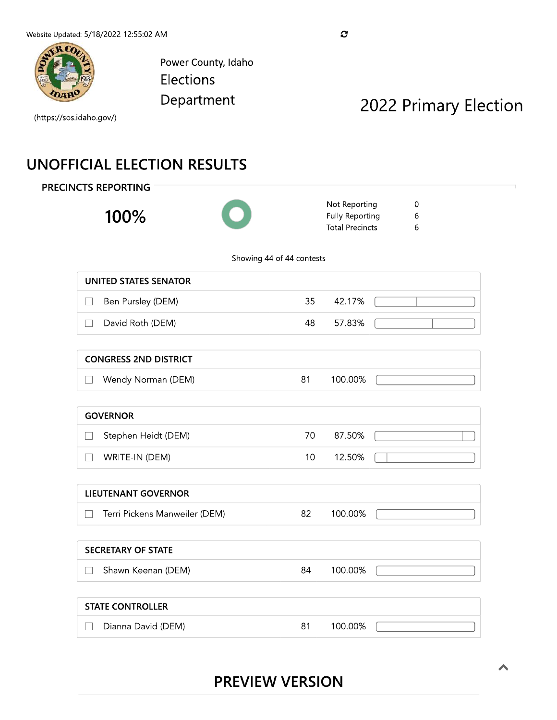

Power County, Idaho Elections Department

# 2022 Primary Election

(https://sos.idaho.gov/)

## **UNOFFICIAL ELECTION RESULTS**

**PRECINCTS REPORTING** 

100%



Not Reporting  $\boldsymbol{0}$ **Fully Reporting**  $\,$  6  $\,$ **Total Precincts** 6

Showing 44 of 44 contests

| UNITED STATES SENATOR |     |        |  |
|-----------------------|-----|--------|--|
| Ben Pursley (DEM)     | 35  | 42.17% |  |
| David Roth (DEM)      | 48. | 57.83% |  |
|                       |     |        |  |

| <b>CONGRESS 2ND DISTRICT</b> |         |  |
|------------------------------|---------|--|
| Wendy Norman (DEM)           | 100.00% |  |

| <b>GOVERNOR</b>     |     |        |  |
|---------------------|-----|--------|--|
| Stephen Heidt (DEM) | 70. | 87.50% |  |
| WRITE-IN (DEM)      | 10  | 12.50% |  |

#### **LIEUTENANT GOVERNOR** Terri Pickens Manweiler (DEM) 82 100.00%  $\Box$

| <b>SECRETARY OF STATE</b> |    |         |  |
|---------------------------|----|---------|--|
| Shawn Keenan (DEM)        | 84 | 100.00% |  |

#### **STATE CONTROLLER** Dianna David (DEM) 81 100.00%  $\Box$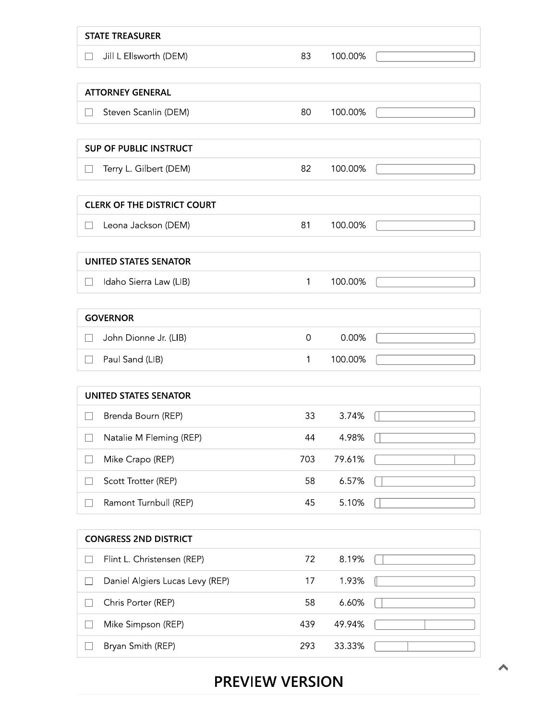| <b>STATE TREASURER</b>                    |              |         |  |
|-------------------------------------------|--------------|---------|--|
| Jill L Ellsworth (DEM)<br>$\Box$          | 83           | 100.00% |  |
|                                           |              |         |  |
| <b>ATTORNEY GENERAL</b>                   |              |         |  |
| Steven Scanlin (DEM)<br>П                 | 80           | 100.00% |  |
| <b>SUP OF PUBLIC INSTRUCT</b>             |              |         |  |
| Terry L. Gilbert (DEM)<br>$\Box$          | 82           | 100.00% |  |
|                                           |              |         |  |
| <b>CLERK OF THE DISTRICT COURT</b>        |              |         |  |
| Leona Jackson (DEM)                       | 81           | 100.00% |  |
|                                           |              |         |  |
| <b>UNITED STATES SENATOR</b>              |              |         |  |
| Idaho Sierra Law (LIB)<br>$\mathbf{L}$    | $\mathbf{1}$ | 100.00% |  |
|                                           |              |         |  |
| <b>GOVERNOR</b>                           |              |         |  |
| John Dionne Jr. (LIB)<br>$\Box$           | 0            | 0.00%   |  |
| Paul Sand (LIB)<br>$\vert \ \ \vert$      | 1            | 100.00% |  |
| <b>UNITED STATES SENATOR</b>              |              |         |  |
| Brenda Bourn (REP)                        | 33           | 3.74%   |  |
| Natalie M Fleming (REP)                   | 44           | 4.98%   |  |
| Mike Crapo (REP)                          | 703          | 79.61%  |  |
| Scott Trotter (REP)                       | 58           | 6.57%   |  |
| Ramont Turnbull (REP)                     | 45           | 5.10%   |  |
|                                           |              |         |  |
| <b>CONGRESS 2ND DISTRICT</b>              |              |         |  |
| Flint L. Christensen (REP)                | 72           | 8.19%   |  |
| Daniel Algiers Lucas Levy (REP)<br>$\Box$ | 17           | 1.93%   |  |
| Chris Porter (REP)<br>$\Box$              | 58           | 6.60%   |  |
| Mike Simpson (REP)<br>$\Box$              | 439          | 49.94%  |  |
| Bryan Smith (REP)<br>$\Box$               | 293          | 33.33%  |  |

## **PREVIEW VERSION**

ᄉ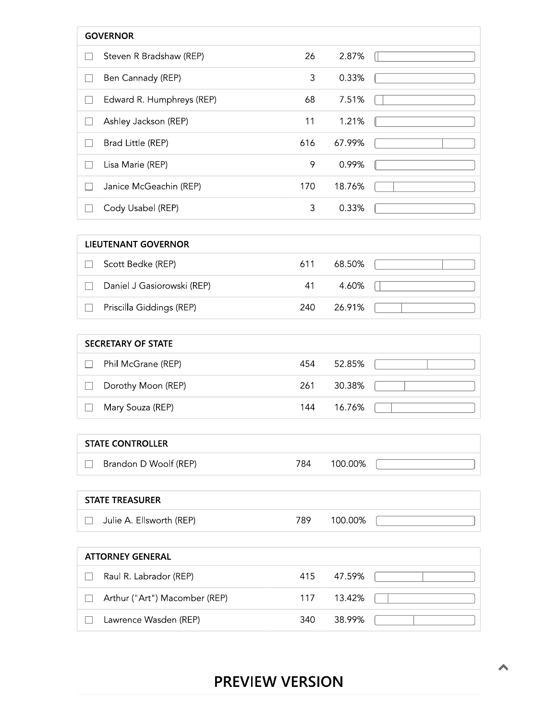| <b>GOVERNOR</b>           |     |        |  |
|---------------------------|-----|--------|--|
| Steven R Bradshaw (REP)   | 26  | 2.87%  |  |
| Ben Cannady (REP)         | 3   | 0.33%  |  |
| Edward R. Humphreys (REP) | 68  | 7.51%  |  |
| Ashley Jackson (REP)      | 11  | 1.21%  |  |
| Brad Little (REP)         | 616 | 67.99% |  |
| Lisa Marie (REP)          | 9   | 0.99%  |  |
| Janice McGeachin (REP)    | 170 | 18.76% |  |
| Cody Usabel (REP)         | 3   | 0.33%  |  |

| LIEUTENANT GOVERNOR        |      |        |  |
|----------------------------|------|--------|--|
| Scott Bedke (REP)          | 611  | 68.50% |  |
| Daniel J Gasiorowski (REP) | 41   | 4.60%  |  |
| Priscilla Giddings (REP)   | 240. | 26.91% |  |

| <b>SECRETARY OF STATE</b> |                    |     |        |  |
|---------------------------|--------------------|-----|--------|--|
|                           | Phil McGrane (REP) | 454 | 52.85% |  |
|                           | Dorothy Moon (REP) | 261 | 30.38% |  |
|                           | Mary Souza (REP)   | 144 | 16.76% |  |

#### **STATE CONTROLLER**

□ Brandon D Woolf (REP) 784 100.00%

#### **STATE TREASURER**

Julie A. Ellsworth (REP) 789 100.00%

| <b>ATTORNEY GENERAL</b> |                               |     |        |  |  |
|-------------------------|-------------------------------|-----|--------|--|--|
|                         | Raul R. Labrador (REP)        | 415 | 47.59% |  |  |
|                         | Arthur ("Art") Macomber (REP) | 117 | 13.42% |  |  |
|                         | Lawrence Wasden (REP)         | 340 | 38.99% |  |  |

 $\int$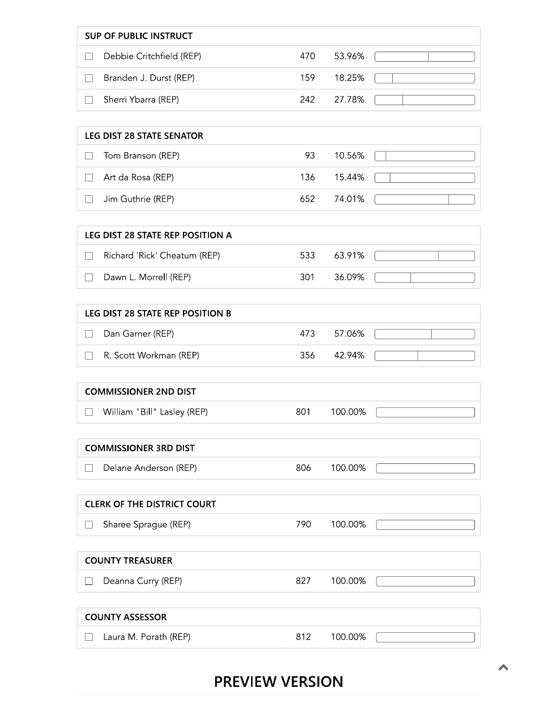| SUP OF PUBLIC INSTRUCT   |     |            |  |
|--------------------------|-----|------------|--|
| Debbie Critchfield (REP) | 470 | - 53.96%   |  |
| Branden J. Durst (REP)   | 159 | 18.25%     |  |
| Sherri Ybarra (REP)      |     | 242 27.78% |  |

| LEG DIST 28 STATE SENATOR |            |  |
|---------------------------|------------|--|
| Tom Branson (REP)         | 93 10.56%  |  |
| Art da Rosa (REP)         | 136 15.44% |  |
| Jim Guthrie (REP)         | 652 74.01% |  |

| LEG DIST 28 STATE REP POSITION A |      |         |  |
|----------------------------------|------|---------|--|
| Richard 'Rick' Cheatum (REP)     | 533  | 63.91%  |  |
| Dawn L. Morrell (REP)            | -301 | -36.09% |  |

| LEG DIST 28 STATE REP POSITION B |                        |     |        |  |  |  |
|----------------------------------|------------------------|-----|--------|--|--|--|
|                                  | Dan Garner (REP)       | 473 | 57.06% |  |  |  |
|                                  | R. Scott Workman (REP) | 356 | 42.94% |  |  |  |

#### **COMMISSIONER 2ND DIST**

William "Bill" Lasley (REP)

801 100.00%

806

827

### **COMMISSIONER 3RD DIST**

Delane Anderson (REP)

100.00%

### **CLERK OF THE DISTRICT COURT**

 $\Box$  Sharee Sprague (REP) 790 100.00%

### **COUNTY TREASURER**

 $\Box$  Deanna Curry (REP)

### **COUNTY ASSESSOR**

 $\Box$  Laura M. Porath (REP)

812 100.00%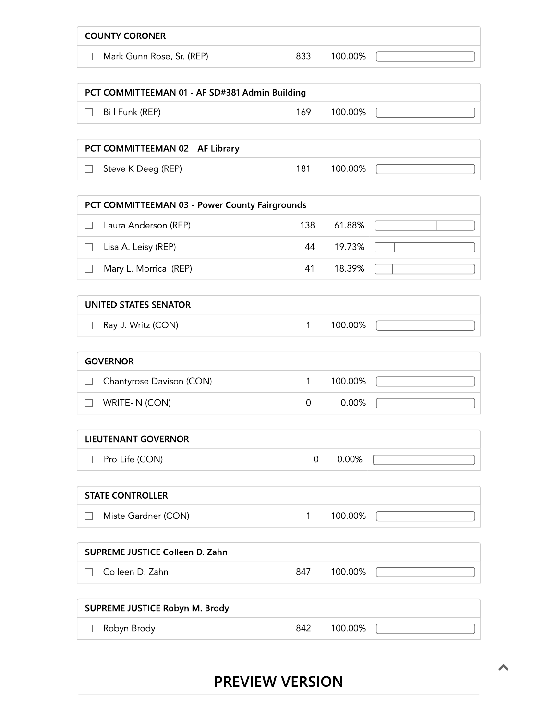| <b>COUNTY CORONER</b>                           |                     |         |  |
|-------------------------------------------------|---------------------|---------|--|
| Mark Gunn Rose, Sr. (REP)<br>$\vert \ \ \vert$  | 833                 | 100.00% |  |
| PCT COMMITTEEMAN 01 - AF SD#381 Admin Building  |                     |         |  |
| Bill Funk (REP)<br>$\overline{\phantom{a}}$     | 169                 | 100.00% |  |
| PCT COMMITTEEMAN 02 - AF Library                |                     |         |  |
| Steve K Deeg (REP)<br>$\vert \ \ \vert$         | 181                 | 100.00% |  |
| PCT COMMITTEEMAN 03 - Power County Fairgrounds  |                     |         |  |
| Laura Anderson (REP)<br>$\mathcal{L}$           | 138                 | 61.88%  |  |
| Lisa A. Leisy (REP)<br>$\Box$                   | 44                  | 19.73%  |  |
| Mary L. Morrical (REP)<br>$\mathcal{L}$         | 41                  | 18.39%  |  |
| <b>UNITED STATES SENATOR</b>                    |                     |         |  |
| Ray J. Writz (CON)<br>$\vert \ \ \vert$         | 1                   | 100.00% |  |
| <b>GOVERNOR</b>                                 |                     |         |  |
| Chantyrose Davison (CON)                        | 1                   | 100.00% |  |
| WRITE-IN (CON)                                  | 0                   | 0.00%   |  |
| <b>LIEUTENANT GOVERNOR</b>                      |                     |         |  |
| Pro-Life (CON)<br>$\overline{\phantom{0}}$      | $\mathsf{O}\xspace$ | 0.00%   |  |
| <b>STATE CONTROLLER</b>                         |                     |         |  |
| Miste Gardner (CON)<br>$\overline{\phantom{a}}$ | 1                   | 100.00% |  |
| SUPREME JUSTICE Colleen D. Zahn                 |                     |         |  |
| Colleen D. Zahn<br>$\overline{\phantom{0}}$     | 847                 | 100.00% |  |
| SUPREME JUSTICE Robyn M. Brody                  |                     |         |  |
| Robyn Brody                                     | 842                 | 100.00% |  |